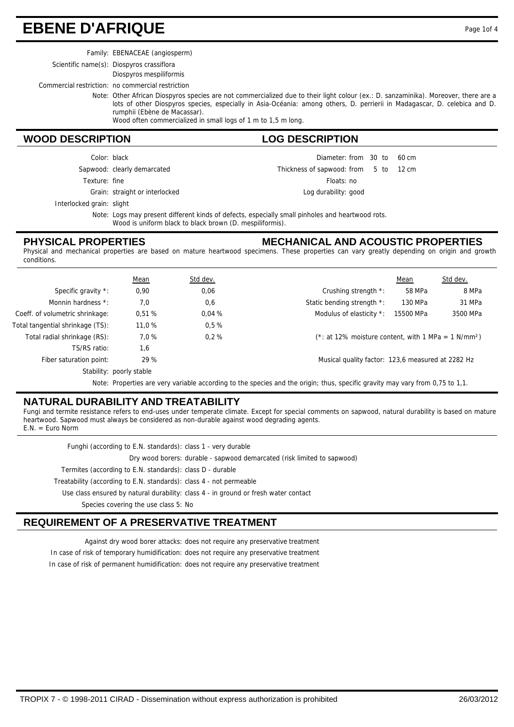## **EBENE D'AFRIQUE** Page 1of 4

Family: EBENACEAE (angiosperm)

Scientific name(s): Diospyros crassiflora

Diospyros mespiliformis

Commercial restriction: no commercial restriction

Note: Other African Diospyros species are not commercialized due to their light colour (ex.: D. sanzaminika). Moreover, there are a lots of other Diospyros species, especially in Asia-Océania: among others, D. perrierii in Madagascar, D. celebica and D. rumphii (Ebène de Macassar).

Wood often commercialized in small logs of 1 m to 1,5 m long.

#### **WOOD DESCRIPTION LOG DESCRIPTION**

| Color: black      |                                | Diameter: from 30 to 60 cm            |  |
|-------------------|--------------------------------|---------------------------------------|--|
|                   | Sapwood: clearly demarcated    | Thickness of sapwood: from 5 to 12 cm |  |
| Texture: fine     |                                | Floats: no                            |  |
|                   | Grain: straight or interlocked | Log durability: good                  |  |
| ked grain: slight |                                |                                       |  |

Interlock

Note: Logs may present different kinds of defects, especially small pinholes and heartwood rots. Wood is uniform black to black brown (D. mespiliformis).

#### **PHYSICAL PROPERTIES**

#### **MECHANICAL AND ACOUSTIC PROPERTIES**

Physical and mechanical properties are based on mature heartwood specimens. These properties can vary greatly depending on origin and growth conditions.

|                                                                                                                               | <b>Mean</b>              | Std dev. |                                                                    | Mean      | Std dev. |
|-------------------------------------------------------------------------------------------------------------------------------|--------------------------|----------|--------------------------------------------------------------------|-----------|----------|
| Specific gravity *:                                                                                                           | 0,90                     | 0,06     | Crushing strength *:                                               | 58 MPa    | 8 MPa    |
| Monnin hardness *:                                                                                                            | 7,0                      | 0,6      | Static bending strength *:                                         | 130 MPa   | 31 MPa   |
| Coeff. of volumetric shrinkage:                                                                                               | 0.51%                    | 0.04%    | Modulus of elasticity *:                                           | 15500 MPa | 3500 MPa |
| Total tangential shrinkage (TS):                                                                                              | 11,0 %                   | 0.5%     |                                                                    |           |          |
| Total radial shrinkage (RS):                                                                                                  | 7.0%                     | 0.2%     | $(*: at 12\%$ moisture content, with 1 MPa = 1 N/mm <sup>2</sup> ) |           |          |
| TS/RS ratio:                                                                                                                  | 1,6                      |          |                                                                    |           |          |
| Fiber saturation point:                                                                                                       | 29 %                     |          | Musical quality factor: 123,6 measured at 2282 Hz                  |           |          |
|                                                                                                                               | Stability: poorly stable |          |                                                                    |           |          |
| Note: Properties are very variable according to the species and the origin; thus, specific gravity may vary from 0,75 to 1,1. |                          |          |                                                                    |           |          |

### **NATURAL DURABILITY AND TREATABILITY**

Fungi and termite resistance refers to end-uses under temperate climate. Except for special comments on sapwood, natural durability is based on mature heartwood. Sapwood must always be considered as non-durable against wood degrading agents.  $E.N. = Euro Norm$ 

Funghi (according to E.N. standards): class 1 - very durable

Dry wood borers: durable - sapwood demarcated (risk limited to sapwood)

Termites (according to E.N. standards): class D - durable

Treatability (according to E.N. standards): class 4 - not permeable

Use class ensured by natural durability: class 4 - in ground or fresh water contact

Species covering the use class 5: No

### **REQUIREMENT OF A PRESERVATIVE TREATMENT**

Against dry wood borer attacks: does not require any preservative treatment

In case of risk of temporary humidification: does not require any preservative treatment

In case of risk of permanent humidification: does not require any preservative treatment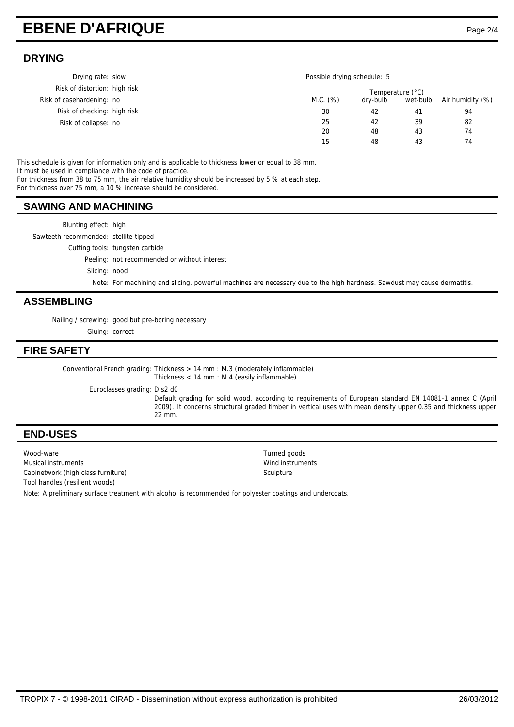# **EBENE D'AFRIQUE** Page 2/4

#### **DRYING**

| Drying rate: slow             | Possible drying schedule: 5 |                  |          |                  |
|-------------------------------|-----------------------------|------------------|----------|------------------|
| Risk of distortion: high risk |                             | Temperature (°C) |          |                  |
| Risk of casehardening: no     | M.C. (%)                    | dry-bulb         | wet-bulb | Air humidity (%) |
| Risk of checking: high risk   | 30                          | 42               | 41       | 94               |
| Risk of collapse: no          | 25                          | 42               | 39       | 82               |
|                               | 20                          | 48               | 43       | 74               |
|                               | 15                          | 48               | 43       | 74               |

This schedule is given for information only and is applicable to thickness lower or equal to 38 mm.

It must be used in compliance with the code of practice.

For thickness from 38 to 75 mm, the air relative humidity should be increased by 5 % at each step.

For thickness over 75 mm, a 10 % increase should be considered.

### **SAWING AND MACHINING**

Blunting effect: high Sawteeth recommended: stellite-tipped Cutting tools: tungsten carbide Peeling: not recommended or without interest Slicing: nood

Note: For machining and slicing, powerful machines are necessary due to the high hardness. Sawdust may cause dermatitis.

#### **ASSEMBLING**

Nailing / screwing: good but pre-boring necessary Gluing: correct

#### **FIRE SAFETY**

Conventional French grading: Thickness  $> 14$  mm : M.3 (moderately inflammable) Thickness < 14 mm : M.4 (easily inflammable)

Euroclasses grading: D s2 d0

Default grading for solid wood, according to requirements of European standard EN 14081-1 annex C (April 2009). It concerns structural graded timber in vertical uses with mean density upper 0.35 and thickness upper 22 mm.

#### **END-USES**

Wood-ware Turned goods Musical instruments Wind instruments Cabinetwork (high class furniture) Sculpture Sculpture Tool handles (resilient woods)

Note: A preliminary surface treatment with alcohol is recommended for polyester coatings and undercoats.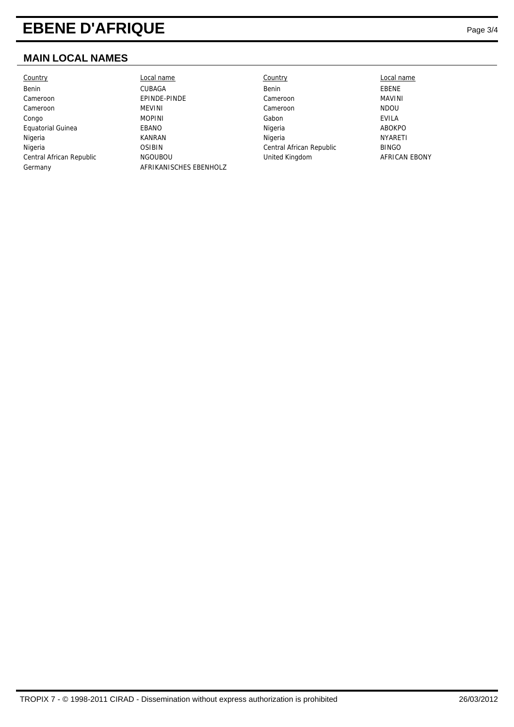# **EBENE D'AFRIQUE**

### **MAIN LOCAL NAMES**

| <b>Country</b>           | Local name             | Country                  | Local name     |
|--------------------------|------------------------|--------------------------|----------------|
| Benin                    | CUBAGA                 | Benin                    | EBENE          |
| Cameroon                 | EPINDE-PINDE           | Cameroon                 | MAVINI         |
| Cameroon                 | MEVINI                 | Cameroon                 | <b>NDOU</b>    |
| Congo                    | <b>MOPINI</b>          | Gabon                    | EVILA          |
| Equatorial Guinea        | EBANO                  | Nigeria                  | ABOKPO         |
| Nigeria                  | <b>KANRAN</b>          | Nigeria                  | <b>NYARETI</b> |
| Nigeria                  | <b>OSIBIN</b>          | Central African Republic | <b>BINGO</b>   |
| Central African Republic | <b>NGOUBOU</b>         | United Kingdom           | AFRICAN EBONY  |
| Germany                  | AFRIKANISCHES EBENHOLZ |                          |                |
|                          |                        |                          |                |